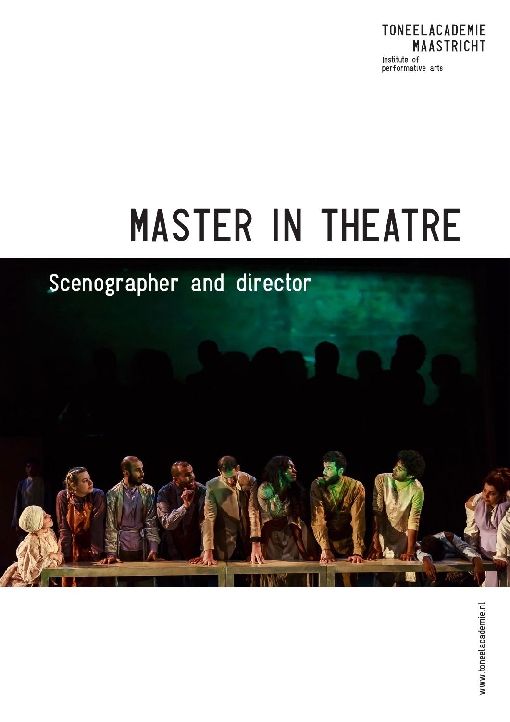

# MASTER IN THEATRE

## Scenographer and director

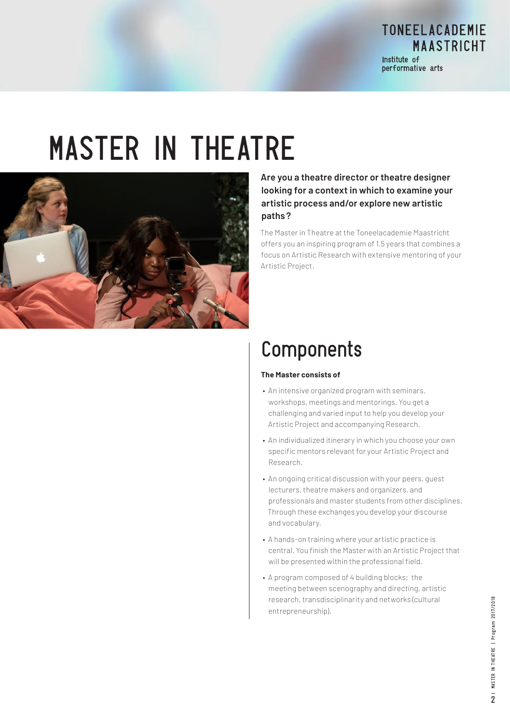TONEELACADEMIE **MAASTRICHT** Institute of performative arts

## MASTER IN THEATRE



#### **Are you a theatre director or theatre designer looking for a context in which to examine your artistic process and/or explore new artistic paths ?**

The Master in Theatre at the Toneelacademie Maastricht offers you an inspiring program of 1.5 years that combines a focus on Artistic Research with extensive mentoring of your Artistic Project.

#### Components

#### **The Master consists of**

- An intensive organized program with seminars, workshops, meetings and mentorings. You get a challenging and varied input to help you develop your Artistic Project and accompanying Research.
- An individualized itinerary in which you choose your own specific mentors relevant for your Artistic Project and Research.
- An ongoing critical discussion with your peers, guest lecturers, theatre makers and organizers, and professionals and master students from other disciplines. Through these exchanges you develop your discourse and vocabulary.
- A hands-on training where your artistic practice is central. You finish the Master with an Artistic Project that will be presented within the professional field.
- A program composed of 4 building blocks: the meeting between scenography and directing, artistic research, transdisciplinarity and networks (cultural entrepreneurship).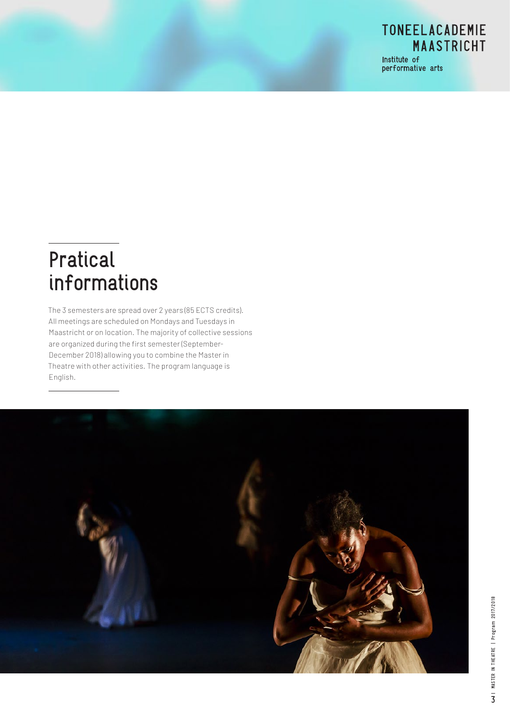

performative arts

#### Pratical informations

The 3 semesters are spread over 2 years (85 ECTS credits). All meetings are scheduled on Mondays and Tuesdays in Maastricht or on location. The majority of collective sessions are organized during the first semester (September-December 2018) allowing you to combine the Master in Theatre with other activities. The program language is English.

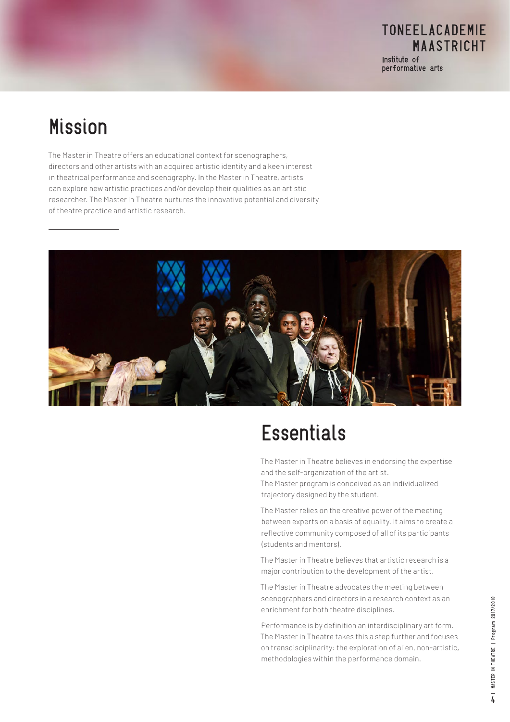#### **Mission**

The Master in Theatre offers an educational context for scenographers, directors and other artists with an acquired artistic identity and a keen interest in theatrical performance and scenography. In the Master in Theatre, artists can explore new artistic practices and/or develop their qualities as an artistic researcher. The Master in Theatre nurtures the innovative potential and diversity of theatre practice and artistic research.



### **Essentials**

The Master in Theatre believes in endorsing the expertise and the self-organization of the artist.

The Master program is conceived as an individualized trajectory designed by the student.

The Master relies on the creative power of the meeting between experts on a basis of equality. It aims to create a reflective community composed of all of its participants (students and mentors).

The Master in Theatre believes that artistic research is a major contribution to the development of the artist.

The Master in Theatre advocates the meeting between scenographers and directors in a research context as an enrichment for both theatre disciplines.

Performance is by definition an interdisciplinary art form. The Master in Theatre takes this a step further and focuses on transdisciplinarity: the exploration of alien, non-artistic, methodologies within the performance domain.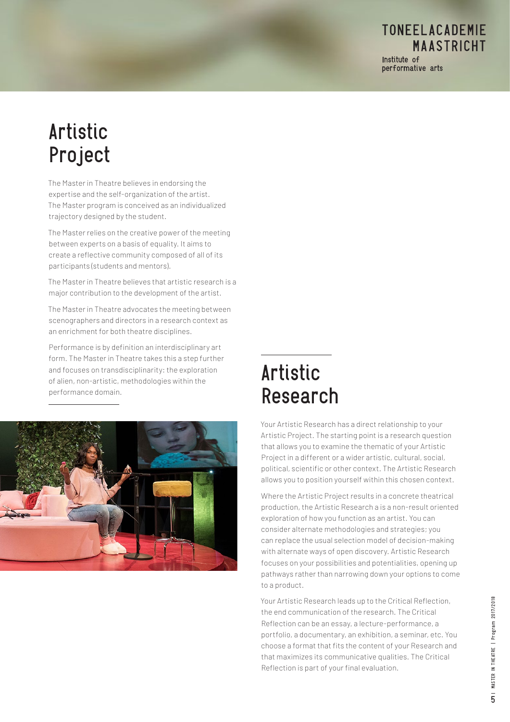**MAASTRICHT** Institute of performative arts

**TONEELACADEMIE** 

#### Artistic Project

The Master in Theatre believes in endorsing the expertise and the self-organization of the artist. The Master program is conceived as an individualized trajectory designed by the student.

The Master relies on the creative power of the meeting between experts on a basis of equality. It aims to create a reflective community composed of all of its participants (students and mentors).

The Master in Theatre believes that artistic research is a major contribution to the development of the artist.

The Master in Theatre advocates the meeting between scenographers and directors in a research context as an enrichment for both theatre disciplines.

Performance is by definition an interdisciplinary art form. The Master in Theatre takes this a step further and focuses on transdisciplinarity: the exploration of alien, non-artistic, methodologies within the performance domain.



#### Artistic Research

Your Artistic Research has a direct relationship to your Artistic Project. The starting point is a research question that allows you to examine the thematic of your Artistic Project in a different or a wider artistic, cultural, social, political, scientific or other context. The Artistic Research allows you to position yourself within this chosen context.

Where the Artistic Project results in a concrete theatrical production, the Artistic Research a is a non-result oriented exploration of how you function as an artist. You can consider alternate methodologies and strategies; you can replace the usual selection model of decision-making with alternate ways of open discovery. Artistic Research focuses on your possibilities and potentialities, opening up pathways rather than narrowing down your options to come to a product.

Your Artistic Research leads up to the Critical Reflection, the end communication of the research. The Critical Reflection can be an essay, a lecture-performance, a portfolio, a documentary, an exhibition, a seminar, etc. You choose a format that fits the content of your Research and that maximizes its communicative qualities. The Critical Reflection is part of your final evaluation.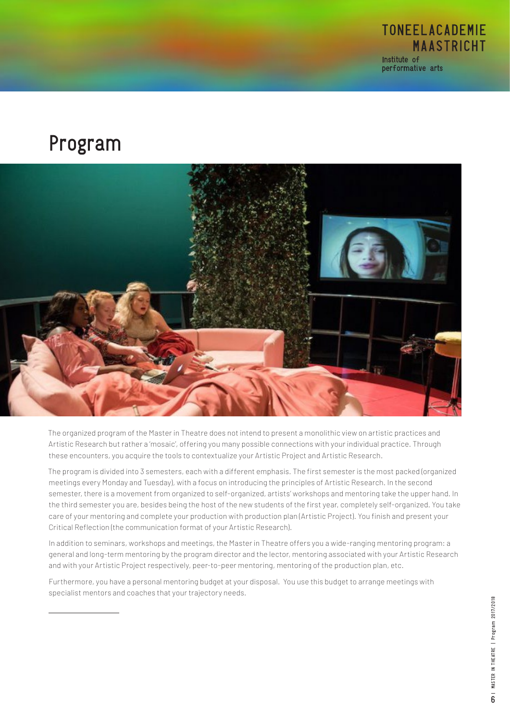

Program



The organized program of the Master in Theatre does not intend to present a monolithic view on artistic practices and Artistic Research but rather a 'mosaic', offering you many possible connections with your individual practice. Through these encounters, you acquire the tools to contextualize your Artistic Project and Artistic Research.

The program is divided into 3 semesters, each with a different emphasis. The first semester is the most packed (organized meetings every Monday and Tuesday), with a focus on introducing the principles of Artistic Research. In the second semester, there is a movement from organized to self-organized, artists' workshops and mentoring take the upper hand. In the third semester you are, besides being the host of the new students of the first year, completely self-organized. You take care of your mentoring and complete your production with production plan (Artistic Project). You finish and present your Critical Reflection (the communication format of your Artistic Research).

In addition to seminars, workshops and meetings, the Master in Theatre offers you a wide-ranging mentoring program: a general and long-term mentoring by the program director and the lector, mentoring associated with your Artistic Research and with your Artistic Project respectively, peer-to-peer mentoring, mentoring of the production plan, etc.

Furthermore, you have a personal mentoring budget at your disposal. You use this budget to arrange meetings with specialist mentors and coaches that your trajectory needs.